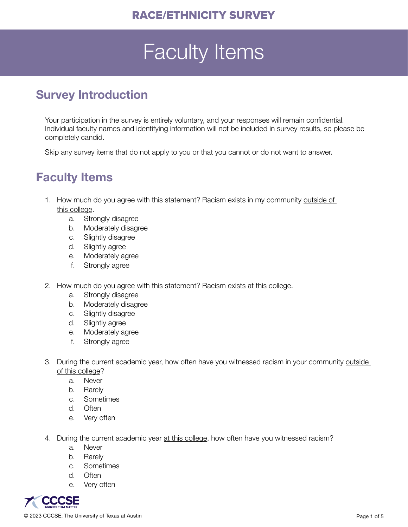## Faculty Items

## Survey Introduction

Your participation in the survey is entirely voluntary, and your responses will remain confidential. Individual faculty names and identifying information will not be included in survey results, so please be completely candid.

Skip any survey items that do not apply to you or that you cannot or do not want to answer.

## Faculty Items

- 1. How much do you agree with this statement? Racism exists in my community outside of this college.
	- a. Strongly disagree
	- b. Moderately disagree
	- c. Slightly disagree
	- d. Slightly agree
	- e. Moderately agree
	- f. Strongly agree
- 2. How much do you agree with this statement? Racism exists at this college.
	- a. Strongly disagree
	- b. Moderately disagree
	- c. Slightly disagree
	- d. Slightly agree
	- e. Moderately agree
	- f. Strongly agree
- 3. During the current academic year, how often have you witnessed racism in your community outside of this college?
	- a. Never
	- b. Rarely
	- c. Sometimes
	- d. Often
	- e. Very often
- 4. During the current academic year at this college, how often have you witnessed racism?
	- a. Never
	- b. Rarely
	- c. Sometimes
	- d. Often
	- e. Very often

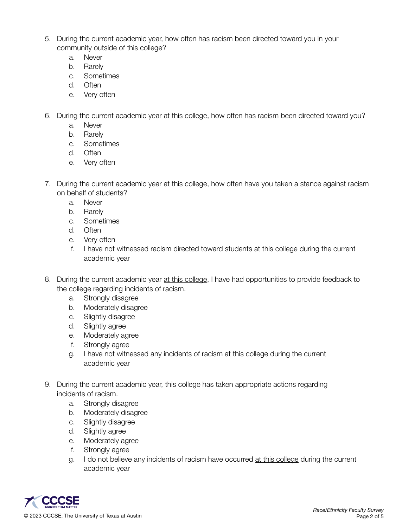- 5. During the current academic year, how often has racism been directed toward you in your community outside of this college?
	- a. Never
	- b. Rarely
	- c. Sometimes
	- d. Often
	- e. Very often
- 6. During the current academic year at this college, how often has racism been directed toward you?
	- a. Never
	- b. Rarely
	- c. Sometimes
	- d. Often
	- e. Very often
- 7. During the current academic year at this college, how often have you taken a stance against racism on behalf of students?
	- a. Never
	- b. Rarely
	- c. Sometimes
	- d. Often
	- e. Very often
	- f. I have not witnessed racism directed toward students at this college during the current academic year
- 8. During the current academic year at this college, I have had opportunities to provide feedback to the college regarding incidents of racism.
	- a. Strongly disagree
	- b. Moderately disagree
	- c. Slightly disagree
	- d. Slightly agree
	- e. Moderately agree
	- f. Strongly agree
	- g. I have not witnessed any incidents of racism at this college during the current academic year
- 9. During the current academic year, this college has taken appropriate actions regarding incidents of racism.
	- a. Strongly disagree
	- b. Moderately disagree
	- c. Slightly disagree
	- d. Slightly agree
	- e. Moderately agree
	- f. Strongly agree
	- g. I do not believe any incidents of racism have occurred at this college during the current academic year

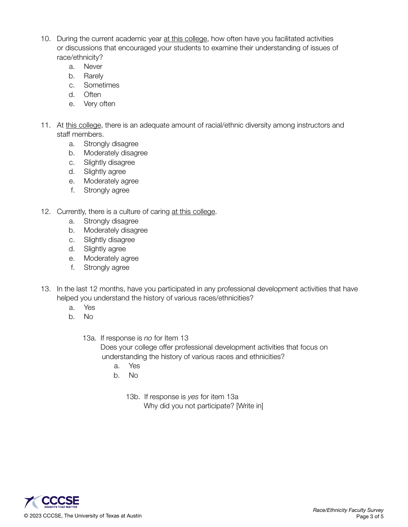- 10. During the current academic year at this college, how often have you facilitated activities or discussions that encouraged your students to examine their understanding of issues of race/ethnicity?
	- a. Never
	- b. Rarely
	- c. Sometimes
	- d. Often
	- e. Very often
- 11. At this college, there is an adequate amount of racial/ethnic diversity among instructors and staff members.
	- a. Strongly disagree
	- b. Moderately disagree
	- c. Slightly disagree
	- d. Slightly agree
	- e. Moderately agree
	- f. Strongly agree
- 12. Currently, there is a culture of caring at this college.
	- a. Strongly disagree
	- b. Moderately disagree
	- c. Slightly disagree
	- d. Slightly agree
	- e. Moderately agree
	- f. Strongly agree
- 13. In the last 12 months, have you participated in any professional development activities that have helped you understand the history of various races/ethnicities?
	- a. Yes
	- b. No
		- 13a. If response is *no* for Item 13

Does your college offer professional development activities that focus on understanding the history of various races and ethnicities?

- a. Yes
- b. No
	- 13b. If response is *yes* for item 13a Why did you not participate? [Write in]

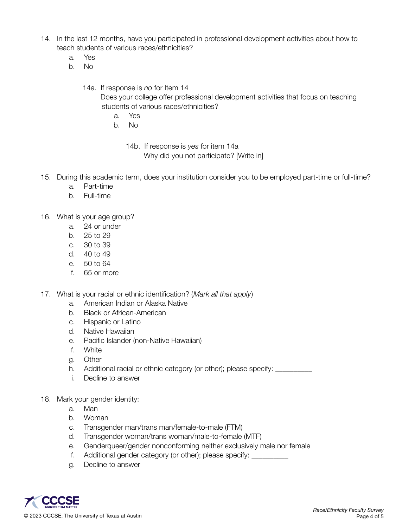- 14. In the last 12 months, have you participated in professional development activities about how to teach students of various races/ethnicities?
	- a. Yes
	- b. No

14a. If response is *no* for Item 14 Does your college offer professional development activities that focus on teaching students of various races/ethnicities?

- a. Yes
- b. No

14b. If response is *yes* for item 14a Why did you not participate? [Write in]

- 15. During this academic term, does your institution consider you to be employed part-time or full-time?
	- a. Part-time
	- b. Full-time
- 16. What is your age group?
	- a. 24 or under
	- b. 25 to 29
	- c. 30 to 39
	- d. 40 to 49
	- e. 50 to 64
	- f. 65 or more
- 17. What is your racial or ethnic identification? (*Mark all that apply*)
	- a. American Indian or Alaska Native
	- b. Black or African-American
	- c. Hispanic or Latino
	- d. Native Hawaiian
	- e. Pacific Islander (non-Native Hawaiian)
	- f. White
	- g. Other
	- h. Additional racial or ethnic category (or other); please specify: \_\_\_\_\_\_\_\_\_\_\_
	- i. Decline to answer
- 18. Mark your gender identity:
	- a. Man
	- b. Woman
	- c. Transgender man/trans man/female-to-male (FTM)
	- d. Transgender woman/trans woman/male-to-female (MTF)
	- e. Genderqueer/gender nonconforming neither exclusively male nor female
	- f. Additional gender category (or other); please specify: \_\_\_\_\_\_\_\_\_\_
	- g. Decline to answer

© 2023 CCCSE, The University of Texas at Austin Page 4 of 5